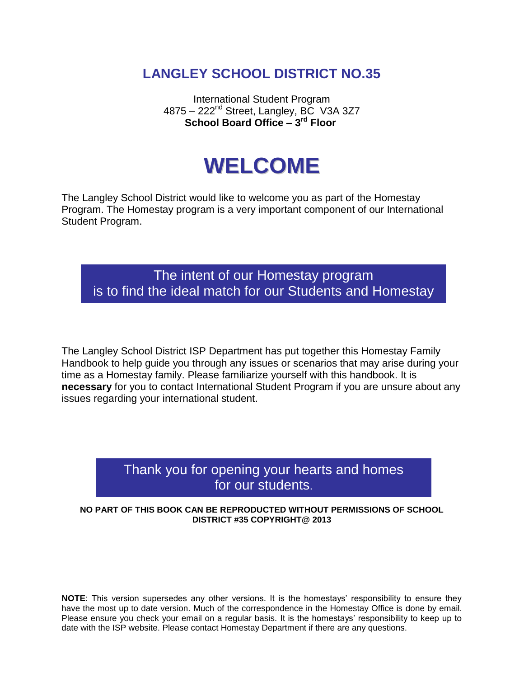# **LANGLEY SCHOOL DISTRICT NO.35**

International Student Program 4875 – 222<sup>nd</sup> Street, Langley, BC V3A 3Z7 **School Board Office – 3 rd Floor**

# **WELCOME**

The Langley School District would like to welcome you as part of the Homestay Program. The Homestay program is a very important component of our International Student Program.

The intent of our Homestay program is to find the ideal match for our Students and Homestay

families.

The Langley School District ISP Department has put together this Homestay Family Handbook to help guide you through any issues or scenarios that may arise during your time as a Homestay family. Please familiarize yourself with this handbook. It is **necessary** for you to contact International Student Program if you are unsure about any issues regarding your international student.

## Thank you for opening your hearts and homes for our students.

NO PART OF THIS BOOK CAN BE REPRODUCTED WITHOUT PERMISSIONS OF SCHOOL **DISTRICT #35 COPYRIGHT@ 2013**

**NOTE**: This version supersedes any other versions. It is the homestays' responsibility to ensure they have the most up to date version. Much of the correspondence in the Homestay Office is done by email. Please ensure you check your email on a regular basis. It is the homestays' responsibility to keep up to date with the ISP website. Please contact Homestay Department if there are any questions.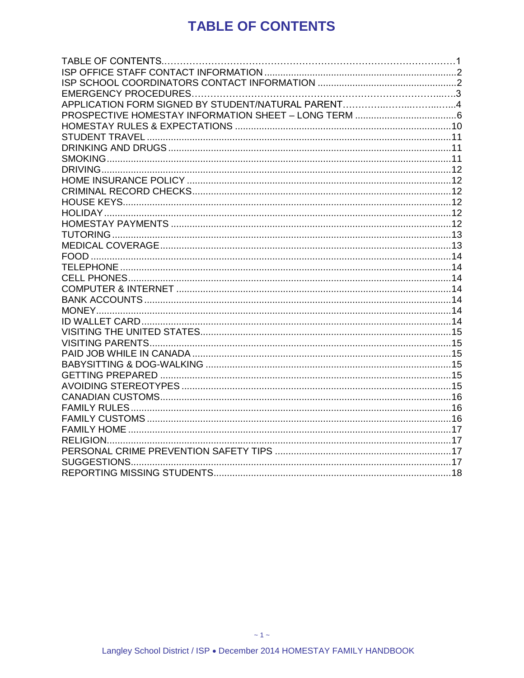# **TABLE OF CONTENTS**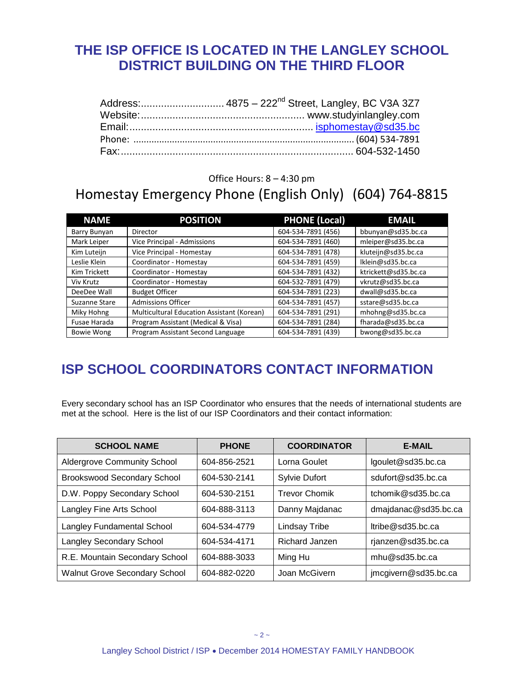# <span id="page-2-0"></span>**THE ISP OFFICE IS LOCATED IN THE LANGLEY SCHOOL DISTRICT BUILDING ON THE THIRD FLOOR**

#### Office Hours: 8 – 4:30 pm

# Homestay Emergency Phone (English Only) (604) 764-8815

| <b>NAME</b>       | <b>POSITION</b>                            | <b>PHONE (Local)</b> | <b>EMAIL</b>         |
|-------------------|--------------------------------------------|----------------------|----------------------|
| Barry Bunyan      | Director                                   | 604-534-7891 (456)   | bbunyan@sd35.bc.ca   |
| Mark Leiper       | Vice Principal - Admissions                | 604-534-7891 (460)   | mleiper@sd35.bc.ca   |
| Kim Luteijn       | Vice Principal - Homestay                  | 604-534-7891 (478)   | kluteijn@sd35.bc.ca  |
| Leslie Klein      | Coordinator - Homestay                     | 604-534-7891 (459)   | Iklein@sd35.bc.ca    |
| Kim Trickett      | Coordinator - Homestay                     | 604-534-7891 (432)   | ktrickett@sd35.bc.ca |
| Viv Krutz         | Coordinator - Homestay                     | 604-532-7891 (479)   | vkrutz@sd35.bc.ca    |
| DeeDee Wall       | <b>Budget Officer</b>                      | 604-534-7891 (223)   | dwall@sd35.bc.ca     |
| Suzanne Stare     | <b>Admissions Officer</b>                  | 604-534-7891 (457)   | sstare@sd35.bc.ca    |
| Miky Hohng        | Multicultural Education Assistant (Korean) | 604-534-7891 (291)   | mhohng@sd35.bc.ca    |
| Fusae Harada      | Program Assistant (Medical & Visa)         | 604-534-7891 (284)   | fharada@sd35.bc.ca   |
| <b>Bowie Wong</b> | Program Assistant Second Language          | 604-534-7891 (439)   | bwong@sd35.bc.ca     |

# <span id="page-2-1"></span>**ISP SCHOOL COORDINATORS CONTACT INFORMATION**

Every secondary school has an ISP Coordinator who ensures that the needs of international students are met at the school. Here is the list of our ISP Coordinators and their contact information:

| <b>SCHOOL NAME</b>                   | <b>PHONE</b> | <b>COORDINATOR</b>   | <b>E-MAIL</b>        |
|--------------------------------------|--------------|----------------------|----------------------|
| <b>Aldergrove Community School</b>   | 604-856-2521 | Lorna Goulet         | lgoulet@sd35.bc.ca   |
| <b>Brookswood Secondary School</b>   | 604-530-2141 | <b>Sylvie Dufort</b> | sdufort@sd35.bc.ca   |
| D.W. Poppy Secondary School          | 604-530-2151 | <b>Trevor Chomik</b> | tchomik@sd35.bc.ca   |
| Langley Fine Arts School             | 604-888-3113 | Danny Majdanac       | dmajdanac@sd35.bc.ca |
| <b>Langley Fundamental School</b>    | 604-534-4779 | <b>Lindsay Tribe</b> | $l$ tribe@sd35.bc.ca |
| <b>Langley Secondary School</b>      | 604-534-4171 | Richard Janzen       | rjanzen@sd35.bc.ca   |
| R.E. Mountain Secondary School       | 604-888-3033 | Ming Hu              | mhu@sd35.bc.ca       |
| <b>Walnut Grove Secondary School</b> | 604-882-0220 | Joan McGivern        | jmcgivern@sd35.bc.ca |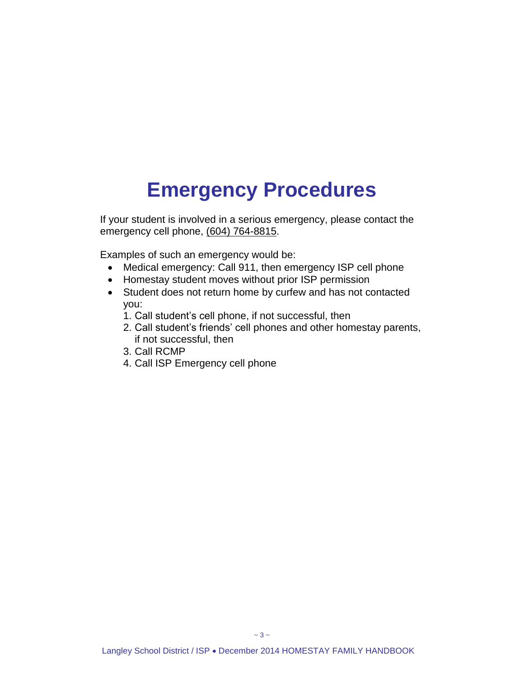# **Emergency Procedures**

If your student is involved in a serious emergency, please contact the emergency cell phone, (604) 764-8815.

Examples of such an emergency would be:

- Medical emergency: Call 911, then emergency ISP cell phone
- Homestay student moves without prior ISP permission
- Student does not return home by curfew and has not contacted you:
	- 1. Call student's cell phone, if not successful, then
	- 2. Call student's friends' cell phones and other homestay parents, if not successful, then
	- 3. Call RCMP
	- 4. Call ISP Emergency cell phone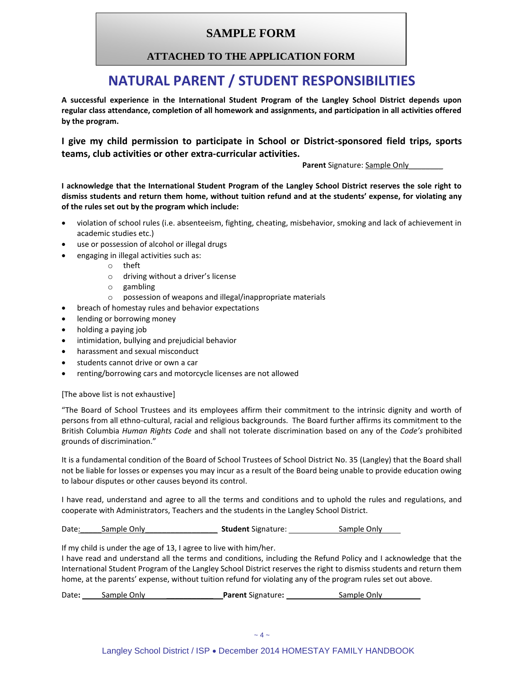#### **SAMPLE FORM**

#### **ATTACHED TO THE APPLICATION FORM**

## **NATURAL PARENT / STUDENT RESPONSIBILITIES**

**A successful experience in the International Student Program of the Langley School District depends upon regular class attendance, completion of all homework and assignments, and participation in all activities offered by the program.**

**I give my child permission to participate in School or District-sponsored field trips, sports teams, club activities or other extra-curricular activities.**

Parent Signature: Sample Only

**I acknowledge that the International Student Program of the Langley School District reserves the sole right to dismiss students and return them home, without tuition refund and at the students' expense, for violating any of the rules set out by the program which include:**

- violation of school rules (i.e. absenteeism, fighting, cheating, misbehavior, smoking and lack of achievement in academic studies etc.)
- use or possession of alcohol or illegal drugs
	- engaging in illegal activities such as:
		- o theft
		- o driving without a driver's license
		- o gambling
		- o possession of weapons and illegal/inappropriate materials
- breach of homestay rules and behavior expectations
- lending or borrowing money
- holding a paying job
- intimidation, bullying and prejudicial behavior
- harassment and sexual misconduct
- students cannot drive or own a car
- renting/borrowing cars and motorcycle licenses are not allowed

#### [The above list is not exhaustive]

"The Board of School Trustees and its employees affirm their commitment to the intrinsic dignity and worth of persons from all ethno-cultural, racial and religious backgrounds. The Board further affirms its commitment to the British Columbia *Human Rights Code* and shall not tolerate discrimination based on any of the *Code's* prohibited grounds of discrimination."

It is a fundamental condition of the Board of School Trustees of School District No. 35 (Langley) that the Board shall not be liable for losses or expenses you may incur as a result of the Board being unable to provide education owing to labour disputes or other causes beyond its control.

I have read, understand and agree to all the terms and conditions and to uphold the rules and regulations, and cooperate with Administrators, Teachers and the students in the Langley School District.

Date: Sample Only **Student** Signature: Sample Only

If my child is under the age of 13, I agree to live with him/her.

I have read and understand all the terms and conditions, including the Refund Policy and I acknowledge that the International Student Program of the Langley School District reserves the right to dismiss students and return them home, at the parents' expense, without tuition refund for violating any of the program rules set out above.

Date: Sample Only **Parent** Signature: **Sample Only**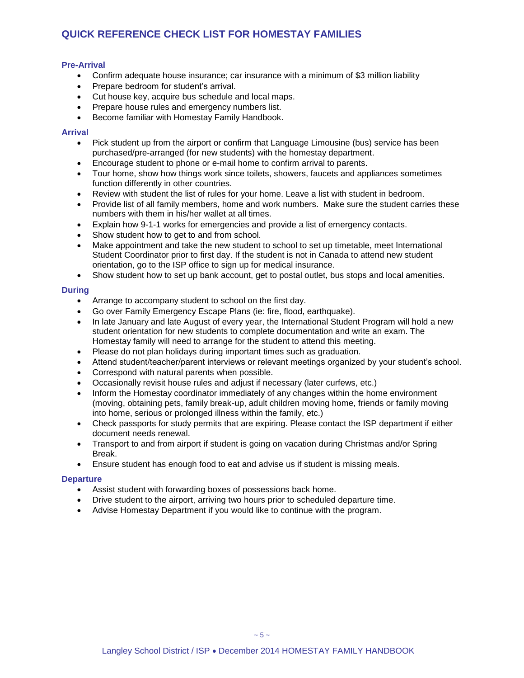#### **QUICK REFERENCE CHECK LIST FOR HOMESTAY FAMILIES**

#### **Pre-Arrival**

- Confirm adequate house insurance; car insurance with a minimum of \$3 million liability
- Prepare bedroom for student's arrival.
- Cut house key, acquire bus schedule and local maps.
- Prepare house rules and emergency numbers list.
- Become familiar with Homestay Family Handbook.

#### **Arrival**

- Pick student up from the airport or confirm that Language Limousine (bus) service has been purchased/pre-arranged (for new students) with the homestay department.
- Encourage student to phone or e-mail home to confirm arrival to parents.
- Tour home, show how things work since toilets, showers, faucets and appliances sometimes function differently in other countries.
- Review with student the list of rules for your home. Leave a list with student in bedroom.
- Provide list of all family members, home and work numbers. Make sure the student carries these numbers with them in his/her wallet at all times.
- Explain how 9-1-1 works for emergencies and provide a list of emergency contacts.
- Show student how to get to and from school.
- Make appointment and take the new student to school to set up timetable, meet International Student Coordinator prior to first day. If the student is not in Canada to attend new student orientation, go to the ISP office to sign up for medical insurance.
- Show student how to set up bank account, get to postal outlet, bus stops and local amenities.

#### **During**

- Arrange to accompany student to school on the first day.
- Go over Family Emergency Escape Plans (ie: fire, flood, earthquake).
- In late January and late August of every year, the International Student Program will hold a new student orientation for new students to complete documentation and write an exam. The Homestay family will need to arrange for the student to attend this meeting.
- Please do not plan holidays during important times such as graduation.
- Attend student/teacher/parent interviews or relevant meetings organized by your student's school.
- Correspond with natural parents when possible.
- Occasionally revisit house rules and adjust if necessary (later curfews, etc.)
- Inform the Homestay coordinator immediately of any changes within the home environment (moving, obtaining pets, family break-up, adult children moving home, friends or family moving into home, serious or prolonged illness within the family, etc.)
- Check passports for study permits that are expiring. Please contact the ISP department if either document needs renewal.
- Transport to and from airport if student is going on vacation during Christmas and/or Spring Break.
- Ensure student has enough food to eat and advise us if student is missing meals.

#### **Departure**

- Assist student with forwarding boxes of possessions back home.
- Drive student to the airport, arriving two hours prior to scheduled departure time.
- <span id="page-5-0"></span>Advise Homestay Department if you would like to continue with the program.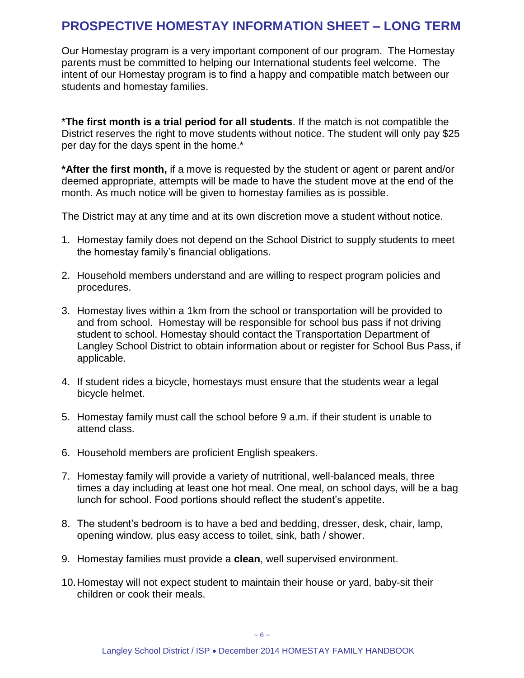### **PROSPECTIVE HOMESTAY INFORMATION SHEET – LONG TERM**

Our Homestay program is a very important component of our program. The Homestay parents must be committed to helping our International students feel welcome. The intent of our Homestay program is to find a happy and compatible match between our students and homestay families.

\***The first month is a trial period for all students**. If the match is not compatible the District reserves the right to move students without notice. The student will only pay \$25 per day for the days spent in the home.\*

**\*After the first month,** if a move is requested by the student or agent or parent and/or deemed appropriate, attempts will be made to have the student move at the end of the month. As much notice will be given to homestay families as is possible.

The District may at any time and at its own discretion move a student without notice.

- 1. Homestay family does not depend on the School District to supply students to meet the homestay family's financial obligations.
- 2. Household members understand and are willing to respect program policies and procedures.
- 3. Homestay lives within a 1km from the school or transportation will be provided to and from school. Homestay will be responsible for school bus pass if not driving student to school. Homestay should contact the Transportation Department of Langley School District to obtain information about or register for School Bus Pass, if applicable.
- 4. If student rides a bicycle, homestays must ensure that the students wear a legal bicycle helmet.
- 5. Homestay family must call the school before 9 a.m. if their student is unable to attend class.
- 6. Household members are proficient English speakers.
- 7. Homestay family will provide a variety of nutritional, well-balanced meals, three times a day including at least one hot meal. One meal, on school days, will be a bag lunch for school. Food portions should reflect the student's appetite.
- 8. The student's bedroom is to have a bed and bedding, dresser, desk, chair, lamp, opening window, plus easy access to toilet, sink, bath / shower.
- 9. Homestay families must provide a **clean**, well supervised environment.
- 10.Homestay will not expect student to maintain their house or yard, baby-sit their children or cook their meals.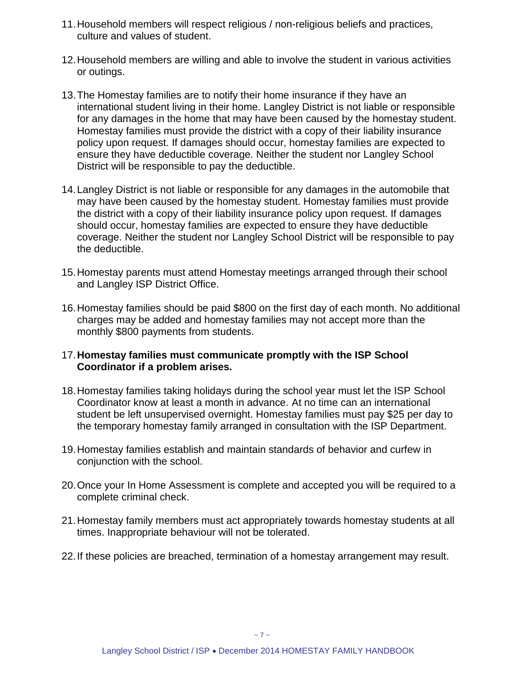- 11.Household members will respect religious / non-religious beliefs and practices, culture and values of student.
- 12.Household members are willing and able to involve the student in various activities or outings.
- 13.The Homestay families are to notify their home insurance if they have an international student living in their home. Langley District is not liable or responsible for any damages in the home that may have been caused by the homestay student. Homestay families must provide the district with a copy of their liability insurance policy upon request. If damages should occur, homestay families are expected to ensure they have deductible coverage. Neither the student nor Langley School District will be responsible to pay the deductible.
- 14.Langley District is not liable or responsible for any damages in the automobile that may have been caused by the homestay student. Homestay families must provide the district with a copy of their liability insurance policy upon request. If damages should occur, homestay families are expected to ensure they have deductible coverage. Neither the student nor Langley School District will be responsible to pay the deductible.
- 15.Homestay parents must attend Homestay meetings arranged through their school and Langley ISP District Office.
- 16.Homestay families should be paid \$800 on the first day of each month. No additional charges may be added and homestay families may not accept more than the monthly \$800 payments from students.
- 17.**Homestay families must communicate promptly with the ISP School Coordinator if a problem arises.**
- 18.Homestay families taking holidays during the school year must let the ISP School Coordinator know at least a month in advance. At no time can an international student be left unsupervised overnight. Homestay families must pay \$25 per day to the temporary homestay family arranged in consultation with the ISP Department.
- 19.Homestay families establish and maintain standards of behavior and curfew in conjunction with the school.
- 20.Once your In Home Assessment is complete and accepted you will be required to a complete criminal check.
- 21.Homestay family members must act appropriately towards homestay students at all times. Inappropriate behaviour will not be tolerated.
- 22.If these policies are breached, termination of a homestay arrangement may result.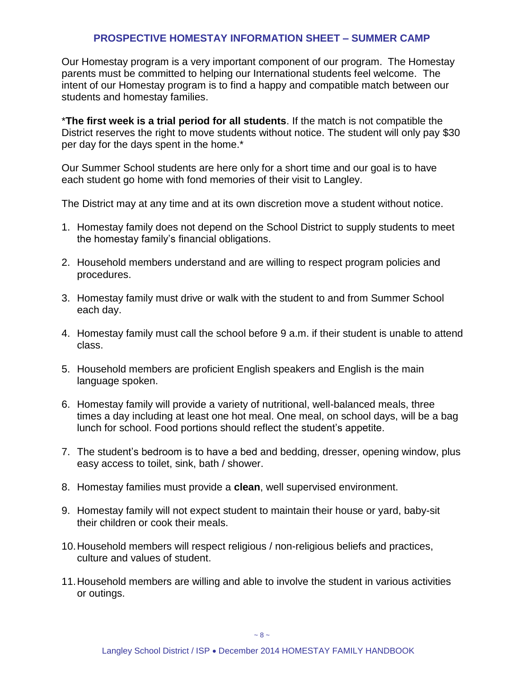#### **PROSPECTIVE HOMESTAY INFORMATION SHEET – SUMMER CAMP**

Our Homestay program is a very important component of our program. The Homestay parents must be committed to helping our International students feel welcome. The intent of our Homestay program is to find a happy and compatible match between our students and homestay families.

\***The first week is a trial period for all students**. If the match is not compatible the District reserves the right to move students without notice. The student will only pay \$30 per day for the days spent in the home.\*

Our Summer School students are here only for a short time and our goal is to have each student go home with fond memories of their visit to Langley.

The District may at any time and at its own discretion move a student without notice.

- 1. Homestay family does not depend on the School District to supply students to meet the homestay family's financial obligations.
- 2. Household members understand and are willing to respect program policies and procedures.
- 3. Homestay family must drive or walk with the student to and from Summer School each day.
- 4. Homestay family must call the school before 9 a.m. if their student is unable to attend class.
- 5. Household members are proficient English speakers and English is the main language spoken.
- 6. Homestay family will provide a variety of nutritional, well-balanced meals, three times a day including at least one hot meal. One meal, on school days, will be a bag lunch for school. Food portions should reflect the student's appetite.
- 7. The student's bedroom is to have a bed and bedding, dresser, opening window, plus easy access to toilet, sink, bath / shower.
- 8. Homestay families must provide a **clean**, well supervised environment.
- 9. Homestay family will not expect student to maintain their house or yard, baby-sit their children or cook their meals.
- 10.Household members will respect religious / non-religious beliefs and practices, culture and values of student.
- 11.Household members are willing and able to involve the student in various activities or outings.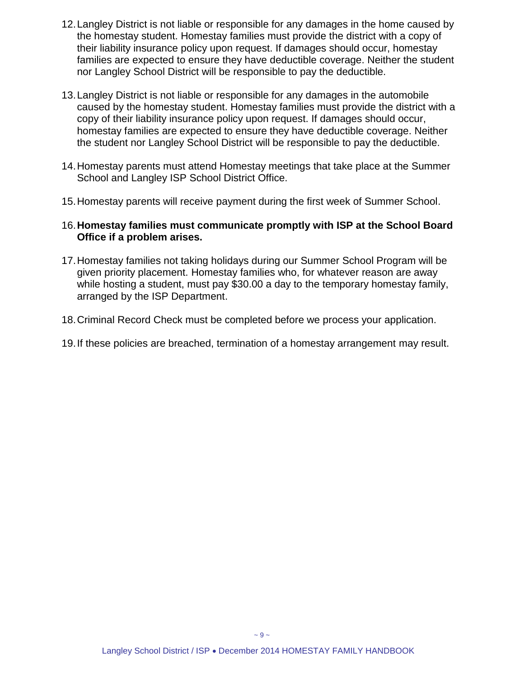- 12.Langley District is not liable or responsible for any damages in the home caused by the homestay student. Homestay families must provide the district with a copy of their liability insurance policy upon request. If damages should occur, homestay families are expected to ensure they have deductible coverage. Neither the student nor Langley School District will be responsible to pay the deductible.
- 13.Langley District is not liable or responsible for any damages in the automobile caused by the homestay student. Homestay families must provide the district with a copy of their liability insurance policy upon request. If damages should occur, homestay families are expected to ensure they have deductible coverage. Neither the student nor Langley School District will be responsible to pay the deductible.
- 14.Homestay parents must attend Homestay meetings that take place at the Summer School and Langley ISP School District Office.
- 15.Homestay parents will receive payment during the first week of Summer School.

#### 16.**Homestay families must communicate promptly with ISP at the School Board Office if a problem arises.**

- 17.Homestay families not taking holidays during our Summer School Program will be given priority placement. Homestay families who, for whatever reason are away while hosting a student, must pay \$30.00 a day to the temporary homestay family, arranged by the ISP Department.
- 18.Criminal Record Check must be completed before we process your application.
- 19.If these policies are breached, termination of a homestay arrangement may result.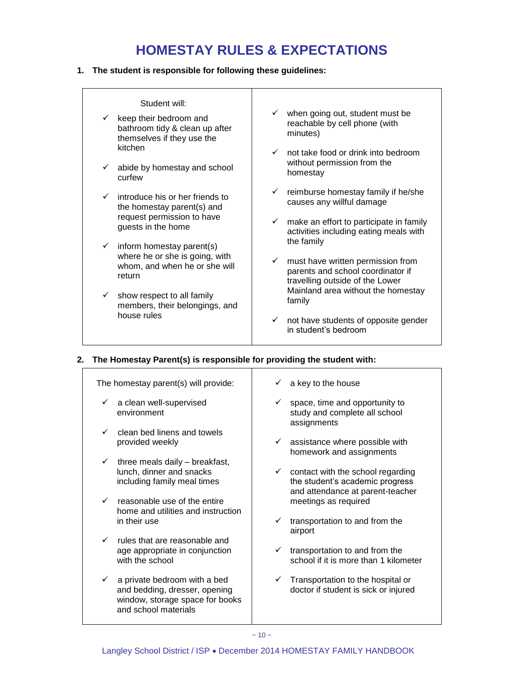# **HOMESTAY RULES & EXPECTATIONS**

#### <span id="page-10-0"></span>**1. The student is responsible for following these guidelines:**

| Student will:<br>$\checkmark$ keep their bedroom and<br>bathroom tidy & clean up after<br>themselves if they use the<br>kitchen<br>$\checkmark$ abide by homestay and school<br>curfew | $\checkmark$ when going out, student must be<br>reachable by cell phone (with<br>minutes)<br>$\checkmark$ not take food or drink into bedroom<br>without permission from the<br>homestay |
|----------------------------------------------------------------------------------------------------------------------------------------------------------------------------------------|------------------------------------------------------------------------------------------------------------------------------------------------------------------------------------------|
| introduce his or her friends to<br>$\checkmark$<br>the homestay parent(s) and<br>request permission to have<br>guests in the home<br>$\checkmark$ inform homestay parent(s)            | reimburse homestay family if he/she<br>causes any willful damage<br>$\checkmark$ make an effort to participate in family<br>activities including eating meals with<br>the family         |
| where he or she is going, with<br>whom, and when he or she will<br>return<br>$\checkmark$ show respect to all family                                                                   | must have written permission from<br>$\checkmark$<br>parents and school coordinator if<br>travelling outside of the Lower<br>Mainland area without the homestay                          |
| members, their belongings, and<br>house rules                                                                                                                                          | family<br>not have students of opposite gender<br>$\checkmark$<br>in student's bedroom                                                                                                   |

#### **2. The Homestay Parent(s) is responsible for providing the student with:**

| The homestay parent(s) will provide:                                                                                                     | a key to the house                                                                     |
|------------------------------------------------------------------------------------------------------------------------------------------|----------------------------------------------------------------------------------------|
| a clean well-supervised<br>$\checkmark$<br>environment                                                                                   | space, time and opportunity to<br>study and complete all school<br>assignments         |
| clean bed linens and towels<br>$\checkmark$<br>provided weekly                                                                           | $\checkmark$ assistance where possible with<br>homework and assignments                |
| three meals daily - breakfast,<br>$\checkmark$<br>lunch, dinner and snacks<br>including family meal times                                | $\checkmark$ contact with the school regarding<br>the student's academic progress      |
| reasonable use of the entire<br>$\checkmark$<br>home and utilities and instruction<br>in their use                                       | and attendance at parent-teacher<br>meetings as required<br>✓                          |
| $\checkmark$ rules that are reasonable and                                                                                               | transportation to and from the<br>airport                                              |
| age appropriate in conjunction<br>with the school                                                                                        | transportation to and from the<br>✓<br>school if it is more than 1 kilometer           |
| a private bedroom with a bed<br>$\checkmark$<br>and bedding, dresser, opening<br>window, storage space for books<br>and school materials | $\checkmark$ Transportation to the hospital or<br>doctor if student is sick or injured |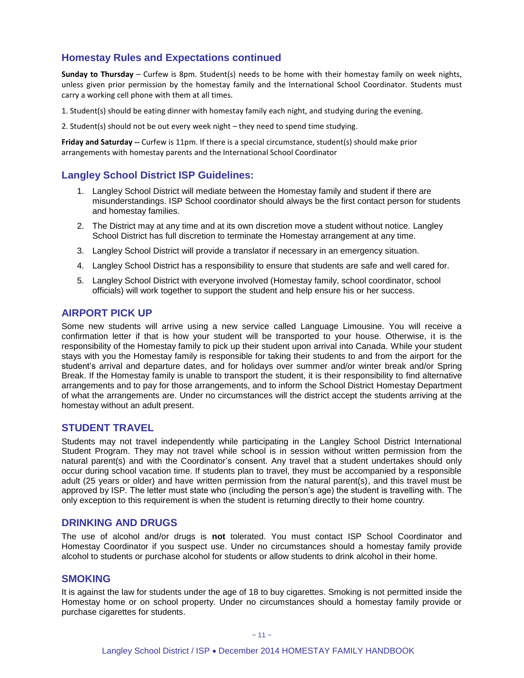#### **Homestay Rules and Expectations continued**

**Sunday to Thursday** – Curfew is 8pm. Student(s) needs to be home with their homestay family on week nights, unless given prior permission by the homestay family and the International School Coordinator. Students must carry a working cell phone with them at all times.

1. Student(s) should be eating dinner with homestay family each night, and studying during the evening.

2. Student(s) should not be out every week night – they need to spend time studying.

**Friday and Saturday --** Curfew is 11pm. If there is a special circumstance, student(s) should make prior arrangements with homestay parents and the International School Coordinator

#### **Langley School District ISP Guidelines:**

- 1. Langley School District will mediate between the Homestay family and student if there are misunderstandings. ISP School coordinator should always be the first contact person for students and homestay families.
- 2. The District may at any time and at its own discretion move a student without notice. Langley School District has full discretion to terminate the Homestay arrangement at any time.
- 3. Langley School District will provide a translator if necessary in an emergency situation.
- 4. Langley School District has a responsibility to ensure that students are safe and well cared for.
- 5. Langley School District with everyone involved (Homestay family, school coordinator, school officials) will work together to support the student and help ensure his or her success.

#### **AIRPORT PICK UP**

Some new students will arrive using a new service called Language Limousine. You will receive a confirmation letter if that is how your student will be transported to your house. Otherwise, it is the responsibility of the Homestay family to pick up their student upon arrival into Canada. While your student stays with you the Homestay family is responsible for taking their students to and from the airport for the student's arrival and departure dates, and for holidays over summer and/or winter break and/or Spring Break. If the Homestay family is unable to transport the student, it is their responsibility to find alternative arrangements and to pay for those arrangements, and to inform the School District Homestay Department of what the arrangements are. Under no circumstances will the district accept the students arriving at the homestay without an adult present.

#### <span id="page-11-0"></span>**STUDENT TRAVEL**

Students may not travel independently while participating in the Langley School District International Student Program. They may not travel while school is in session without written permission from the natural parent(s) and with the Coordinator's consent. Any travel that a student undertakes should only occur during school vacation time. If students plan to travel, they must be accompanied by a responsible adult (25 years or older) and have written permission from the natural parent(s), and this travel must be approved by ISP. The letter must state who (including the person's age) the student is travelling with. The only exception to this requirement is when the student is returning directly to their home country.

#### <span id="page-11-1"></span>**DRINKING AND DRUGS**

The use of alcohol and/or drugs is **not** tolerated. You must contact ISP School Coordinator and Homestay Coordinator if you suspect use. Under no circumstances should a homestay family provide alcohol to students or purchase alcohol for students or allow students to drink alcohol in their home.

#### <span id="page-11-2"></span>**SMOKING**

It is against the law for students under the age of 18 to buy cigarettes. Smoking is not permitted inside the Homestay home or on school property. Under no circumstances should a homestay family provide or purchase cigarettes for students.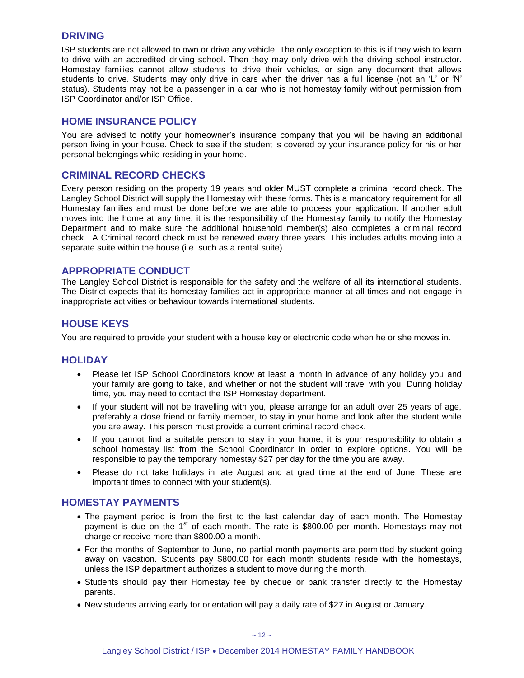#### <span id="page-12-0"></span>**DRIVING**

ISP students are not allowed to own or drive any vehicle. The only exception to this is if they wish to learn to drive with an accredited driving school. Then they may only drive with the driving school instructor. Homestay families cannot allow students to drive their vehicles, or sign any document that allows students to drive. Students may only drive in cars when the driver has a full license (not an 'L' or 'N' status). Students may not be a passenger in a car who is not homestay family without permission from ISP Coordinator and/or ISP Office.

#### <span id="page-12-1"></span>**HOME INSURANCE POLICY**

You are advised to notify your homeowner's insurance company that you will be having an additional person living in your house. Check to see if the student is covered by your insurance policy for his or her personal belongings while residing in your home.

#### <span id="page-12-2"></span>**CRIMINAL RECORD CHECKS**

Every person residing on the property 19 years and older MUST complete a criminal record check. The Langley School District will supply the Homestay with these forms. This is a mandatory requirement for all Homestay families and must be done before we are able to process your application. If another adult moves into the home at any time, it is the responsibility of the Homestay family to notify the Homestay Department and to make sure the additional household member(s) also completes a criminal record check. A Criminal record check must be renewed every three years. This includes adults moving into a separate suite within the house (i.e. such as a rental suite).

#### <span id="page-12-3"></span>**APPROPRIATE CONDUCT**

The Langley School District is responsible for the safety and the welfare of all its international students. The District expects that its homestay families act in appropriate manner at all times and not engage in inappropriate activities or behaviour towards international students.

#### **HOUSE KEYS**

You are required to provide your student with a house key or electronic code when he or she moves in.

#### <span id="page-12-4"></span>**HOLIDAY**

- Please let ISP School Coordinators know at least a month in advance of any holiday you and your family are going to take, and whether or not the student will travel with you. During holiday time, you may need to contact the ISP Homestay department.
- If your student will not be travelling with you, please arrange for an adult over 25 years of age, preferably a close friend or family member, to stay in your home and look after the student while you are away. This person must provide a current criminal record check.
- If you cannot find a suitable person to stay in your home, it is your responsibility to obtain a school homestay list from the School Coordinator in order to explore options. You will be responsible to pay the temporary homestay \$27 per day for the time you are away.
- Please do not take holidays in late August and at grad time at the end of June. These are important times to connect with your student(s).

#### <span id="page-12-5"></span>**HOMESTAY PAYMENTS**

- The payment period is from the first to the last calendar day of each month. The Homestay payment is due on the 1<sup>st</sup> of each month. The rate is \$800.00 per month. Homestays may not charge or receive more than \$800.00 a month.
- For the months of September to June, no partial month payments are permitted by student going away on vacation. Students pay \$800.00 for each month students reside with the homestays, unless the ISP department authorizes a student to move during the month.
- Students should pay their Homestay fee by cheque or bank transfer directly to the Homestay parents.
- New students arriving early for orientation will pay a daily rate of \$27 in August or January.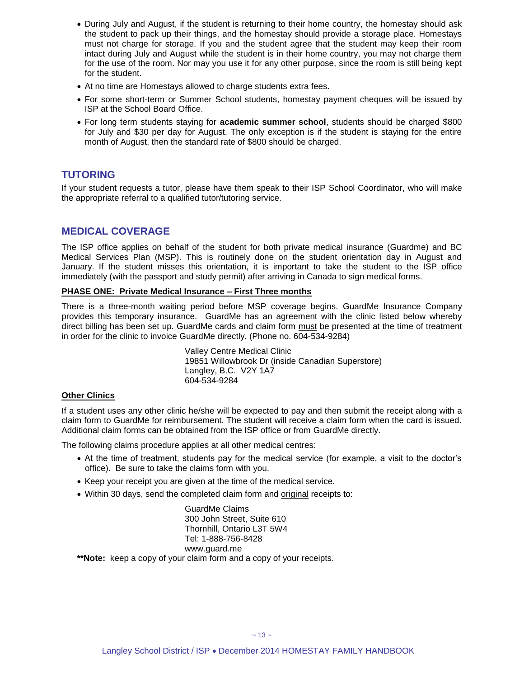- During July and August, if the student is returning to their home country, the homestay should ask the student to pack up their things, and the homestay should provide a storage place. Homestays must not charge for storage. If you and the student agree that the student may keep their room intact during July and August while the student is in their home country, you may not charge them for the use of the room. Nor may you use it for any other purpose, since the room is still being kept for the student.
- At no time are Homestays allowed to charge students extra fees.
- For some short-term or Summer School students, homestay payment cheques will be issued by ISP at the School Board Office.
- For long term students staying for **academic summer school**, students should be charged \$800 for July and \$30 per day for August. The only exception is if the student is staying for the entire month of August, then the standard rate of \$800 should be charged.

#### <span id="page-13-0"></span>**TUTORING**

If your student requests a tutor, please have them speak to their ISP School Coordinator, who will make the appropriate referral to a qualified tutor/tutoring service.

#### <span id="page-13-1"></span>**MEDICAL COVERAGE**

The ISP office applies on behalf of the student for both private medical insurance (Guardme) and BC Medical Services Plan (MSP). This is routinely done on the student orientation day in August and January. If the student misses this orientation, it is important to take the student to the ISP office immediately (with the passport and study permit) after arriving in Canada to sign medical forms.

#### **PHASE ONE: Private Medical Insurance – First Three months**

There is a three-month waiting period before MSP coverage begins. GuardMe Insurance Company provides this temporary insurance. GuardMe has an agreement with the clinic listed below whereby direct billing has been set up. GuardMe cards and claim form must be presented at the time of treatment in order for the clinic to invoice GuardMe directly. (Phone no. 604-534-9284)

> Valley Centre Medical Clinic 19851 Willowbrook Dr (inside Canadian Superstore) Langley, B.C. V2Y 1A7 604-534-9284

#### **Other Clinics**

If a student uses any other clinic he/she will be expected to pay and then submit the receipt along with a claim form to GuardMe for reimbursement. The student will receive a claim form when the card is issued. Additional claim forms can be obtained from the ISP office or from GuardMe directly.

The following claims procedure applies at all other medical centres:

- At the time of treatment, students pay for the medical service (for example, a visit to the doctor's office). Be sure to take the claims form with you.
- Keep your receipt you are given at the time of the medical service.
- Within 30 days, send the completed claim form and original receipts to:

GuardMe Claims 300 John Street, Suite 610 Thornhill, Ontario L3T 5W4 Tel: 1-888-756-8428 www.guard.me

**\*\*Note:** keep a copy of your claim form and a copy of your receipts.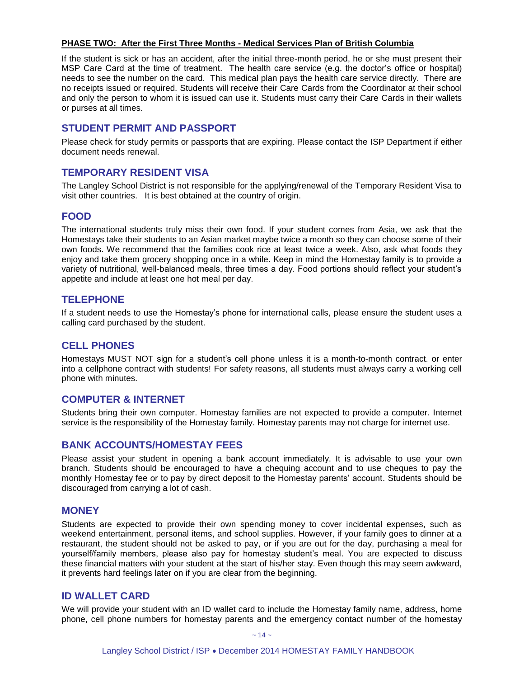#### **PHASE TWO: After the First Three Months - Medical Services Plan of British Columbia**

If the student is sick or has an accident, after the initial three-month period, he or she must present their MSP Care Card at the time of treatment. The health care service (e.g. the doctor's office or hospital) needs to see the number on the card. This medical plan pays the health care service directly. There are no receipts issued or required. Students will receive their Care Cards from the Coordinator at their school and only the person to whom it is issued can use it. Students must carry their Care Cards in their wallets or purses at all times.

#### **STUDENT PERMIT AND PASSPORT**

Please check for study permits or passports that are expiring. Please contact the ISP Department if either document needs renewal.

#### **TEMPORARY RESIDENT VISA**

The Langley School District is not responsible for the applying/renewal of the Temporary Resident Visa to visit other countries. It is best obtained at the country of origin.

#### <span id="page-14-0"></span>**FOOD**

The international students truly miss their own food. If your student comes from Asia, we ask that the Homestays take their students to an Asian market maybe twice a month so they can choose some of their own foods. We recommend that the families cook rice at least twice a week. Also, ask what foods they enjoy and take them grocery shopping once in a while. Keep in mind the Homestay family is to provide a variety of nutritional, well-balanced meals, three times a day. Food portions should reflect your student's appetite and include at least one hot meal per day.

#### <span id="page-14-1"></span>**TELEPHONE**

If a student needs to use the Homestay's phone for international calls, please ensure the student uses a calling card purchased by the student.

#### <span id="page-14-2"></span>**CELL PHONES**

Homestays MUST NOT sign for a student's cell phone unless it is a month-to-month contract. or enter into a cellphone contract with students! For safety reasons, all students must always carry a working cell phone with minutes.

#### <span id="page-14-3"></span>**COMPUTER & INTERNET**

Students bring their own computer. Homestay families are not expected to provide a computer. Internet service is the responsibility of the Homestay family. Homestay parents may not charge for internet use.

#### <span id="page-14-4"></span>**BANK ACCOUNTS/HOMESTAY FEES**

Please assist your student in opening a bank account immediately. It is advisable to use your own branch. Students should be encouraged to have a chequing account and to use cheques to pay the monthly Homestay fee or to pay by direct deposit to the Homestay parents' account. Students should be discouraged from carrying a lot of cash.

#### <span id="page-14-5"></span>**MONEY**

Students are expected to provide their own spending money to cover incidental expenses, such as weekend entertainment, personal items, and school supplies. However, if your family goes to dinner at a restaurant, the student should not be asked to pay, or if you are out for the day, purchasing a meal for yourself/family members, please also pay for homestay student's meal. You are expected to discuss these financial matters with your student at the start of his/her stay. Even though this may seem awkward, it prevents hard feelings later on if you are clear from the beginning.

#### <span id="page-14-6"></span>**ID WALLET CARD**

We will provide your student with an ID wallet card to include the Homestay family name, address, home phone, cell phone numbers for homestay parents and the emergency contact number of the homestay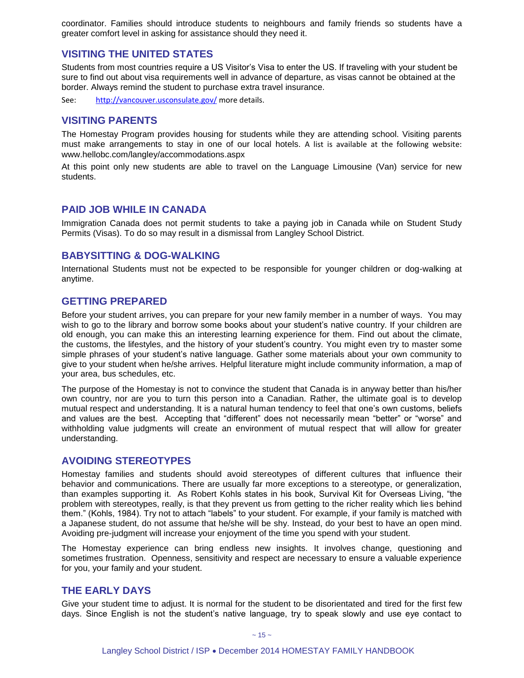coordinator. Families should introduce students to neighbours and family friends so students have a greater comfort level in asking for assistance should they need it.

#### <span id="page-15-0"></span>**VISITING THE UNITED STATES**

Students from most countries require a US Visitor's Visa to enter the US. If traveling with your student be sure to find out about visa requirements well in advance of departure, as visas cannot be obtained at the border. Always remind the student to purchase extra travel insurance.

See: <http://vancouver.usconsulate.gov/> more details.

#### <span id="page-15-1"></span>**VISITING PARENTS**

The Homestay Program provides housing for students while they are attending school. Visiting parents must make arrangements to stay in one of our local hotels. A list is available at the following website: www.hellobc.com/langley/accommodations.aspx

At this point only new students are able to travel on the Language Limousine (Van) service for new students.

#### <span id="page-15-2"></span>**PAID JOB WHILE IN CANADA**

Immigration Canada does not permit students to take a paying job in Canada while on Student Study Permits (Visas). To do so may result in a dismissal from Langley School District.

#### <span id="page-15-3"></span>**BABYSITTING & DOG-WALKING**

International Students must not be expected to be responsible for younger children or dog-walking at anytime.

#### <span id="page-15-4"></span>**GETTING PREPARED**

Before your student arrives, you can prepare for your new family member in a number of ways. You may wish to go to the library and borrow some books about your student's native country. If your children are old enough, you can make this an interesting learning experience for them. Find out about the climate, the customs, the lifestyles, and the history of your student's country. You might even try to master some simple phrases of your student's native language. Gather some materials about your own community to give to your student when he/she arrives. Helpful literature might include community information, a map of your area, bus schedules, etc.

The purpose of the Homestay is not to convince the student that Canada is in anyway better than his/her own country, nor are you to turn this person into a Canadian. Rather, the ultimate goal is to develop mutual respect and understanding. It is a natural human tendency to feel that one's own customs, beliefs and values are the best. Accepting that "different" does not necessarily mean "better" or "worse" and withholding value judgments will create an environment of mutual respect that will allow for greater understanding.

#### <span id="page-15-5"></span>**AVOIDING STEREOTYPES**

Homestay families and students should avoid stereotypes of different cultures that influence their behavior and communications. There are usually far more exceptions to a stereotype, or generalization, than examples supporting it. As Robert Kohls states in his book, Survival Kit for Overseas Living, "the problem with stereotypes, really, is that they prevent us from getting to the richer reality which lies behind them." (Kohls, 1984). Try not to attach "labels" to your student. For example, if your family is matched with a Japanese student, do not assume that he/she will be shy. Instead, do your best to have an open mind. Avoiding pre-judgment will increase your enjoyment of the time you spend with your student.

The Homestay experience can bring endless new insights. It involves change, questioning and sometimes frustration. Openness, sensitivity and respect are necessary to ensure a valuable experience for you, your family and your student.

#### **THE EARLY DAYS**

Give your student time to adjust. It is normal for the student to be disorientated and tired for the first few days. Since English is not the student's native language, try to speak slowly and use eye contact to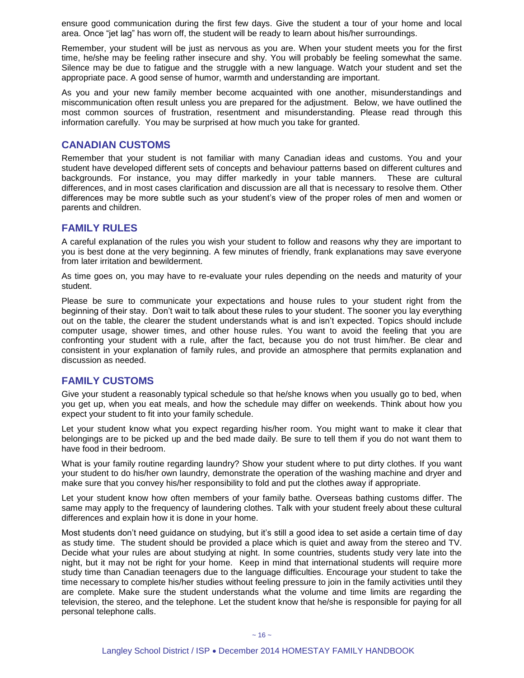ensure good communication during the first few days. Give the student a tour of your home and local area. Once "jet lag" has worn off, the student will be ready to learn about his/her surroundings.

Remember, your student will be just as nervous as you are. When your student meets you for the first time, he/she may be feeling rather insecure and shy. You will probably be feeling somewhat the same. Silence may be due to fatigue and the struggle with a new language. Watch your student and set the appropriate pace. A good sense of humor, warmth and understanding are important.

As you and your new family member become acquainted with one another, misunderstandings and miscommunication often result unless you are prepared for the adjustment. Below, we have outlined the most common sources of frustration, resentment and misunderstanding. Please read through this information carefully. You may be surprised at how much you take for granted.

#### <span id="page-16-0"></span>**CANADIAN CUSTOMS**

Remember that your student is not familiar with many Canadian ideas and customs. You and your student have developed different sets of concepts and behaviour patterns based on different cultures and backgrounds. For instance, you may differ markedly in your table manners. These are cultural differences, and in most cases clarification and discussion are all that is necessary to resolve them. Other differences may be more subtle such as your student's view of the proper roles of men and women or parents and children.

#### <span id="page-16-1"></span>**FAMILY RULES**

A careful explanation of the rules you wish your student to follow and reasons why they are important to you is best done at the very beginning. A few minutes of friendly, frank explanations may save everyone from later irritation and bewilderment.

As time goes on, you may have to re-evaluate your rules depending on the needs and maturity of your student.

Please be sure to communicate your expectations and house rules to your student right from the beginning of their stay. Don't wait to talk about these rules to your student. The sooner you lay everything out on the table, the clearer the student understands what is and isn't expected. Topics should include computer usage, shower times, and other house rules. You want to avoid the feeling that you are confronting your student with a rule, after the fact, because you do not trust him/her. Be clear and consistent in your explanation of family rules, and provide an atmosphere that permits explanation and discussion as needed.

#### <span id="page-16-2"></span>**FAMILY CUSTOMS**

Give your student a reasonably typical schedule so that he/she knows when you usually go to bed, when you get up, when you eat meals, and how the schedule may differ on weekends. Think about how you expect your student to fit into your family schedule.

Let your student know what you expect regarding his/her room. You might want to make it clear that belongings are to be picked up and the bed made daily. Be sure to tell them if you do not want them to have food in their bedroom.

What is your family routine regarding laundry? Show your student where to put dirty clothes. If you want your student to do his/her own laundry, demonstrate the operation of the washing machine and dryer and make sure that you convey his/her responsibility to fold and put the clothes away if appropriate.

Let your student know how often members of your family bathe. Overseas bathing customs differ. The same may apply to the frequency of laundering clothes. Talk with your student freely about these cultural differences and explain how it is done in your home.

Most students don't need guidance on studying, but it's still a good idea to set aside a certain time of day as study time. The student should be provided a place which is quiet and away from the stereo and TV. Decide what your rules are about studying at night. In some countries, students study very late into the night, but it may not be right for your home. Keep in mind that international students will require more study time than Canadian teenagers due to the language difficulties. Encourage your student to take the time necessary to complete his/her studies without feeling pressure to join in the family activities until they are complete. Make sure the student understands what the volume and time limits are regarding the television, the stereo, and the telephone. Let the student know that he/she is responsible for paying for all personal telephone calls.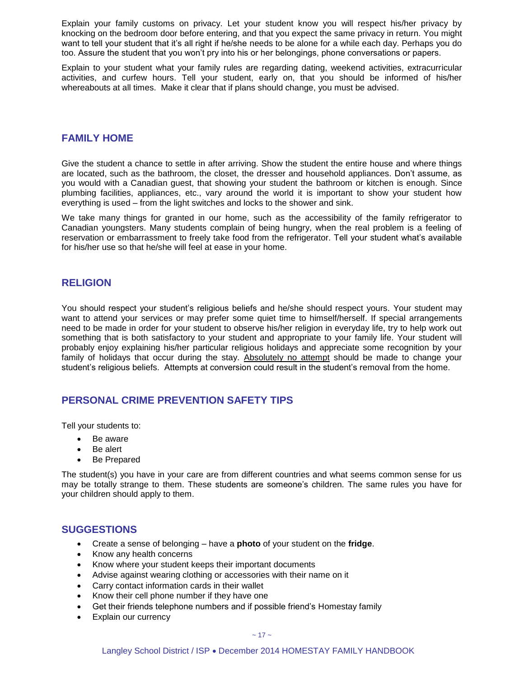Explain your family customs on privacy. Let your student know you will respect his/her privacy by knocking on the bedroom door before entering, and that you expect the same privacy in return. You might want to tell your student that it's all right if he/she needs to be alone for a while each day. Perhaps you do too. Assure the student that you won't pry into his or her belongings, phone conversations or papers.

Explain to your student what your family rules are regarding dating, weekend activities, extracurricular activities, and curfew hours. Tell your student, early on, that you should be informed of his/her whereabouts at all times. Make it clear that if plans should change, you must be advised.

#### <span id="page-17-0"></span>**FAMILY HOME**

Give the student a chance to settle in after arriving. Show the student the entire house and where things are located, such as the bathroom, the closet, the dresser and household appliances. Don't assume, as you would with a Canadian guest, that showing your student the bathroom or kitchen is enough. Since plumbing facilities, appliances, etc., vary around the world it is important to show your student how everything is used – from the light switches and locks to the shower and sink.

We take many things for granted in our home, such as the accessibility of the family refrigerator to Canadian youngsters. Many students complain of being hungry, when the real problem is a feeling of reservation or embarrassment to freely take food from the refrigerator. Tell your student what's available for his/her use so that he/she will feel at ease in your home.

#### <span id="page-17-1"></span>**RELIGION**

You should respect your student's religious beliefs and he/she should respect yours. Your student may want to attend your services or may prefer some quiet time to himself/herself. If special arrangements need to be made in order for your student to observe his/her religion in everyday life, try to help work out something that is both satisfactory to your student and appropriate to your family life. Your student will probably enjoy explaining his/her particular religious holidays and appreciate some recognition by your family of holidays that occur during the stay. Absolutely no attempt should be made to change your student's religious beliefs. Attempts at conversion could result in the student's removal from the home.

#### <span id="page-17-2"></span>**PERSONAL CRIME PREVENTION SAFETY TIPS**

Tell your students to:

- Be aware
- Be alert
- Be Prepared

The student(s) you have in your care are from different countries and what seems common sense for us may be totally strange to them. These students are someone's children. The same rules you have for your children should apply to them.

#### <span id="page-17-3"></span>**SUGGESTIONS**

- Create a sense of belonging have a **photo** of your student on the **fridge**.
- Know any health concerns
- Know where your student keeps their important documents
- Advise against wearing clothing or accessories with their name on it
- Carry contact information cards in their wallet
- Know their cell phone number if they have one
- Get their friends telephone numbers and if possible friend's Homestay family
- Explain our currency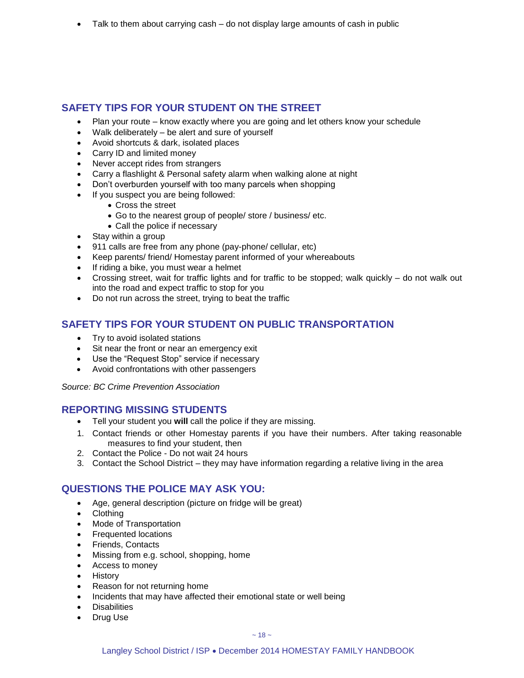Talk to them about carrying cash – do not display large amounts of cash in public

#### **SAFETY TIPS FOR YOUR STUDENT ON THE STREET**

- Plan your route know exactly where you are going and let others know your schedule
- Walk deliberately be alert and sure of yourself
- Avoid shortcuts & dark, isolated places
- Carry ID and limited money
- Never accept rides from strangers
- Carry a flashlight & Personal safety alarm when walking alone at night
- Don't overburden yourself with too many parcels when shopping
- If you suspect you are being followed:
	- Cross the street
	- Go to the nearest group of people/ store / business/ etc.
	- Call the police if necessary
- Stay within a group
- 911 calls are free from any phone (pay-phone/ cellular, etc)
- Keep parents/ friend/ Homestay parent informed of your whereabouts
- If riding a bike, you must wear a helmet
- Crossing street, wait for traffic lights and for traffic to be stopped; walk quickly do not walk out into the road and expect traffic to stop for you
- Do not run across the street, trying to beat the traffic

#### **SAFETY TIPS FOR YOUR STUDENT ON PUBLIC TRANSPORTATION**

- Try to avoid isolated stations
- Sit near the front or near an emergency exit
- Use the "Request Stop" service if necessary
- Avoid confrontations with other passengers

*Source: BC Crime Prevention Association* 

#### <span id="page-18-0"></span>**REPORTING MISSING STUDENTS**

- Tell your student you **will** call the police if they are missing.
- 1. Contact friends or other Homestay parents if you have their numbers. After taking reasonable measures to find your student, then
- 2. Contact the Police Do not wait 24 hours
- 3. Contact the School District they may have information regarding a relative living in the area

#### **QUESTIONS THE POLICE MAY ASK YOU:**

- Age, general description (picture on fridge will be great)
- Clothing
- Mode of Transportation
- Frequented locations
- Friends, Contacts
- Missing from e.g. school, shopping, home
- Access to money
- History
- Reason for not returning home
- Incidents that may have affected their emotional state or well being
- **•** Disabilities
- Drug Use